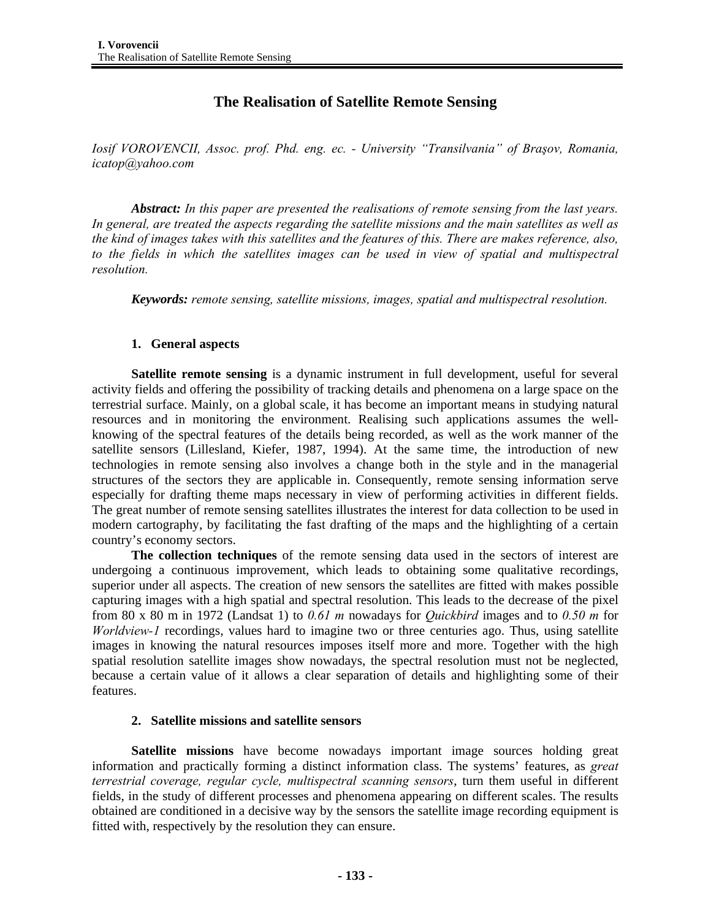# **The Realisation of Satellite Remote Sensing**

*Iosif VOROVENCII, Assoc. prof. Phd. eng. ec. - University "Transilvania" of Braşov, Romania, icatop@yahoo.com* 

*Abstract: In this paper are presented the realisations of remote sensing from the last years. In general, are treated the aspects regarding the satellite missions and the main satellites as well as the kind of images takes with this satellites and the features of this. There are makes reference, also,*  to the fields in which the satellites images can be used in view of spatial and multispectral *resolution.* 

*Keywords: remote sensing, satellite missions, images, spatial and multispectral resolution.*

# **1. General aspects**

**Satellite remote sensing** is a dynamic instrument in full development, useful for several activity fields and offering the possibility of tracking details and phenomena on a large space on the terrestrial surface. Mainly, on a global scale, it has become an important means in studying natural resources and in monitoring the environment. Realising such applications assumes the wellknowing of the spectral features of the details being recorded, as well as the work manner of the satellite sensors (Lillesland, Kiefer, 1987, 1994). At the same time, the introduction of new technologies in remote sensing also involves a change both in the style and in the managerial structures of the sectors they are applicable in. Consequently, remote sensing information serve especially for drafting theme maps necessary in view of performing activities in different fields. The great number of remote sensing satellites illustrates the interest for data collection to be used in modern cartography, by facilitating the fast drafting of the maps and the highlighting of a certain country's economy sectors.

**The collection techniques** of the remote sensing data used in the sectors of interest are undergoing a continuous improvement, which leads to obtaining some qualitative recordings, superior under all aspects. The creation of new sensors the satellites are fitted with makes possible capturing images with a high spatial and spectral resolution. This leads to the decrease of the pixel from 80 x 80 m in 1972 (Landsat 1) to *0.61 m* nowadays for *Quickbird* images and to *0.50 m* for *Worldview-1* recordings, values hard to imagine two or three centuries ago. Thus, using satellite images in knowing the natural resources imposes itself more and more. Together with the high spatial resolution satellite images show nowadays, the spectral resolution must not be neglected, because a certain value of it allows a clear separation of details and highlighting some of their features.

# **2. Satellite missions and satellite sensors**

**Satellite missions** have become nowadays important image sources holding great information and practically forming a distinct information class. The systems' features, as *great terrestrial coverage, regular cycle, multispectral scanning sensors*, turn them useful in different fields, in the study of different processes and phenomena appearing on different scales. The results obtained are conditioned in a decisive way by the sensors the satellite image recording equipment is fitted with, respectively by the resolution they can ensure.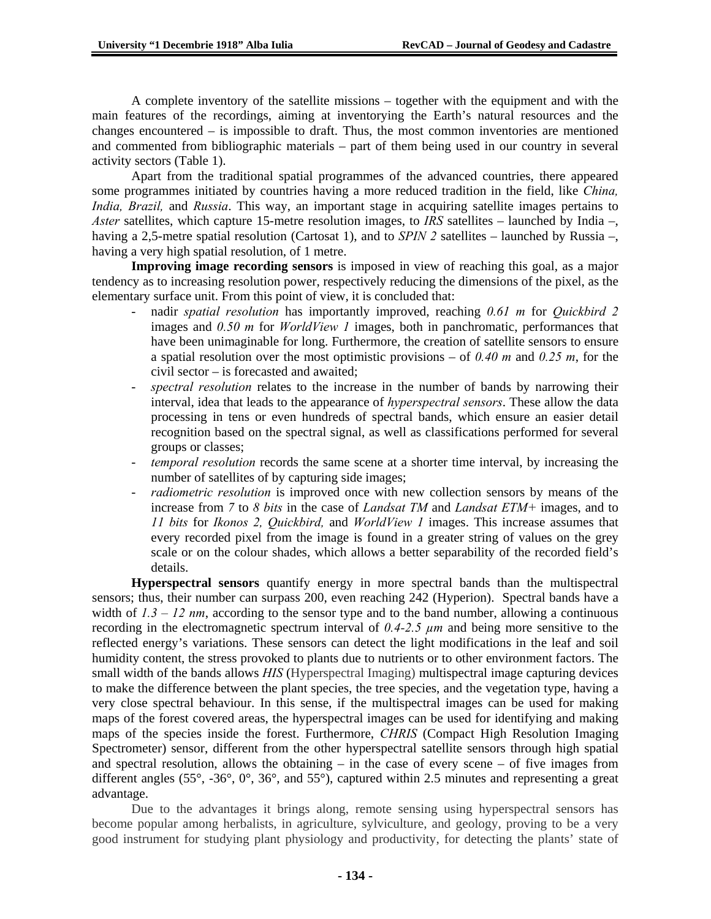A complete inventory of the satellite missions – together with the equipment and with the main features of the recordings, aiming at inventorying the Earth's natural resources and the changes encountered – is impossible to draft. Thus, the most common inventories are mentioned and commented from bibliographic materials – part of them being used in our country in several activity sectors (Table 1).

Apart from the traditional spatial programmes of the advanced countries, there appeared some programmes initiated by countries having a more reduced tradition in the field, like *China, India, Brazil,* and *Russia*. This way, an important stage in acquiring satellite images pertains to *Aster* satellites, which capture 15-metre resolution images, to *IRS* satellites – launched by India –, having a 2,5-metre spatial resolution (Cartosat 1), and to *SPIN 2* satellites – launched by Russia –, having a very high spatial resolution, of 1 metre.

**Improving image recording sensors** is imposed in view of reaching this goal, as a major tendency as to increasing resolution power, respectively reducing the dimensions of the pixel, as the elementary surface unit. From this point of view, it is concluded that:

- nadir *spatial resolution* has importantly improved, reaching *0.61 m* for *Quickbird 2*  images and *0.50 m* for *WorldView 1* images, both in panchromatic, performances that have been unimaginable for long. Furthermore, the creation of satellite sensors to ensure a spatial resolution over the most optimistic provisions – of *0.40 m* and *0.25 m*, for the civil sector – is forecasted and awaited;
- spectral resolution relates to the increase in the number of bands by narrowing their interval, idea that leads to the appearance of *hyperspectral sensors*. These allow the data processing in tens or even hundreds of spectral bands, which ensure an easier detail recognition based on the spectral signal, as well as classifications performed for several groups or classes;
- *temporal resolution* records the same scene at a shorter time interval, by increasing the number of satellites of by capturing side images;
- *radiometric resolution* is improved once with new collection sensors by means of the increase from *7* to *8 bits* in the case of *Landsat TM* and *Landsat ETM+* images, and to *11 bits* for *Ikonos 2, Quickbird,* and *WorldView 1* images. This increase assumes that every recorded pixel from the image is found in a greater string of values on the grey scale or on the colour shades, which allows a better separability of the recorded field's details.

**Hyperspectral sensors** quantify energy in more spectral bands than the multispectral sensors; thus, their number can surpass 200, even reaching 242 (Hyperion). Spectral bands have a width of  $1.3 - 12$  nm, according to the sensor type and to the band number, allowing a continuous recording in the electromagnetic spectrum interval of *0.4-2.5 µm* and being more sensitive to the reflected energy's variations. These sensors can detect the light modifications in the leaf and soil humidity content, the stress provoked to plants due to nutrients or to other environment factors. The small width of the bands allows *HIS* (Hyperspectral Imaging) multispectral image capturing devices to make the difference between the plant species, the tree species, and the vegetation type, having a very close spectral behaviour. In this sense, if the multispectral images can be used for making maps of the forest covered areas, the hyperspectral images can be used for identifying and making maps of the species inside the forest. Furthermore, *CHRIS* (Compact High Resolution Imaging Spectrometer) sensor, different from the other hyperspectral satellite sensors through high spatial and spectral resolution, allows the obtaining – in the case of every scene – of five images from different angles (55°, -36°, 0°, 36°, and 55°), captured within 2.5 minutes and representing a great advantage.

Due to the advantages it brings along, remote sensing using hyperspectral sensors has become popular among herbalists, in agriculture, sylviculture, and geology, proving to be a very good instrument for studying plant physiology and productivity, for detecting the plants' state of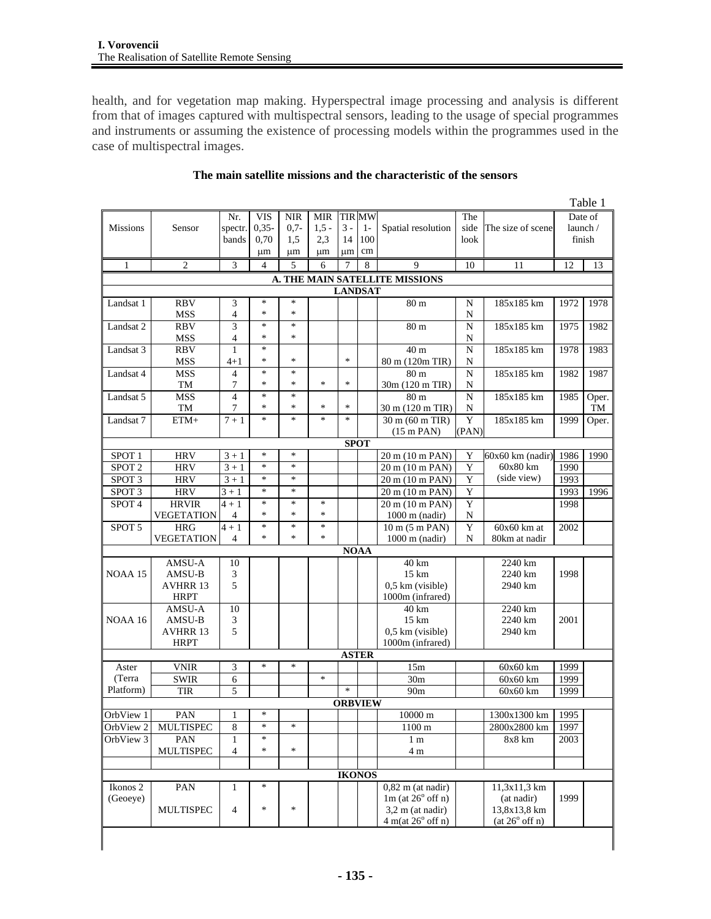health, and for vegetation map making. Hyperspectral image processing and analysis is different from that of images captured with multispectral sensors, leading to the usage of special programmes and instruments or assuming the existence of processing models within the programmes used in the case of multispectral images.

|                   |                       |                    |         |            |            |                |               |                                |           |                    |      | Table 1  |
|-------------------|-----------------------|--------------------|---------|------------|------------|----------------|---------------|--------------------------------|-----------|--------------------|------|----------|
|                   |                       | Nr.                | VIS     | <b>NIR</b> | <b>MIR</b> |                | <b>TIR MW</b> |                                | The       |                    |      | Date of  |
| <b>Missions</b>   | Sensor                | spectr.            | $0,35-$ | $0.7-$     | $1,5 -$    | $3 -$          | $1-$          | Spatial resolution             | side      | The size of scene  |      | launch / |
|                   |                       | bands              | 0,70    | 1,5        | 2,3        | 14             | 100           |                                | look      |                    |      | finish   |
|                   |                       |                    | μm      | μm         | μm         | um             | cm            |                                |           |                    |      |          |
| 1                 | 2                     | 3                  | 4       | 5          | 6          | 7              | 8             | 9                              | 10        | 11                 | 12   | 13       |
|                   |                       |                    |         |            |            |                |               | A. THE MAIN SATELLITE MISSIONS |           |                    |      |          |
|                   |                       |                    |         |            |            | <b>LANDSAT</b> |               |                                |           |                    |      |          |
| Landsat 1         | <b>RBV</b>            | 3                  | $\ast$  | *          |            |                |               | 80 m                           | N         | 185x185 km         | 1972 | 1978     |
|                   | <b>MSS</b>            | $\overline{4}$     | *       | *          |            |                |               |                                | N         |                    |      |          |
| Landsat 2         | <b>RBV</b>            | 3                  | $\ast$  | *          |            |                |               | 80 <sub>m</sub>                | N         | 185x185 km         | 1975 | 1982     |
|                   | <b>MSS</b>            | $\overline{4}$     | *       | *          |            |                |               |                                | N         |                    |      |          |
| Landsat 3         | <b>RBV</b>            | $\mathbf{1}$       | $\ast$  |            |            |                |               | 40 m                           | ${\bf N}$ | 185x185 km         | 1978 | 1983     |
|                   | <b>MSS</b>            | $^{4+1}$           | *       | *          |            | $\ast$         |               | 80 m (120m TIR)                | N         |                    |      |          |
| Landsat 4         | <b>MSS</b>            | $\overline{4}$     | *       | ∗          |            |                |               | 80 <sub>m</sub>                | N         | 185x185 km         | 1982 | 1987     |
|                   | TM                    | 7                  | *       | *          | *          | $\ast$         |               | 30m (120 m TIR)                | N         |                    |      |          |
| Landsat 5         | <b>MSS</b>            | $\overline{4}$     | $\ast$  | *          |            |                |               | 80 <sub>m</sub>                | N         | 185x185 km         | 1985 | Oper.    |
|                   | TM                    | 7                  | *       | *          | $\ast$     | $\ast$         |               | 30 m (120 m TIR)               | N         |                    |      | TM       |
| Landsat 7         | $ETM+$                | $7 + 1$            | *       | *          | $\ast$     | $\ast$         |               | 30 m (60 m TIR)                | Y         | 185x185 km         | 1999 | Oper.    |
|                   |                       |                    |         |            |            |                |               | $(15 \text{ m} \text{ PAN})$   | (PAN)     |                    |      |          |
|                   |                       |                    |         |            |            |                | <b>SPOT</b>   |                                |           |                    |      |          |
| SPOT <sub>1</sub> | <b>HRV</b>            | $3 + 1$            | $\ast$  | *          |            |                |               | 20 m (10 m PAN)                | Y         | $60x60$ km (nadir) | 1986 | 1990     |
| SPOT <sub>2</sub> | <b>HRV</b>            | $3 + 1$            | $\ast$  | *          |            |                |               | 20 m (10 m PAN)                | Y         | 60x80 km           | 1990 |          |
| SPOT <sub>3</sub> | <b>HRV</b>            | $3 + 1$            | *       | *          |            |                |               | 20 m (10 m PAN)                | Y         | (side view)        | 1993 |          |
| SPOT <sub>3</sub> | <b>HRV</b>            | $\overline{3} + 1$ | *       | *          |            |                |               | 20 m (10 m PAN)                | Y         |                    | 1993 | 1996     |
| SPOT <sub>4</sub> | <b>HRVIR</b>          | $4 + 1$            | $\ast$  | *          | $\ast$     |                |               | 20 m (10 m PAN)                | Y         |                    | 1998 |          |
|                   | VEGETATION            | $\overline{4}$     | $\ast$  | *          | $\ast$     |                |               | $1000$ m (nadir)               | N         |                    |      |          |
| SPOT 5            | <b>HRG</b>            | $4+1$              | $\ast$  | $\ast$     | $\ast$     |                |               | $10 \text{ m}$ (5 m PAN)       | Y         | $60x60$ km at      | 2002 |          |
|                   | <b>VEGETATION</b>     | $\overline{4}$     | *       | *          | *          |                |               | $1000$ m (nadir)               | N         | 80km at nadir      |      |          |
|                   |                       |                    |         |            |            |                | <b>NOAA</b>   |                                |           |                    |      |          |
|                   | AMSU-A                | 10                 |         |            |            |                |               | 40 km                          |           | 2240 km            |      |          |
| NOAA 15           | AMSU-B                | 3                  |         |            |            |                |               | $15 \mathrm{km}$               |           | 2240 km            | 1998 |          |
|                   | AVHRR 13              | 5                  |         |            |            |                |               | 0,5 km (visible)               |           | 2940 km            |      |          |
|                   | <b>HRPT</b><br>AMSU-A |                    |         |            |            |                |               | 1000m (infrared)<br>40 km      |           | 2240 km            |      |          |
| NOAA 16           | AMSU-B                | 10<br>3            |         |            |            |                |               | $15 \mathrm{km}$               |           | 2240 km            | 2001 |          |
|                   | <b>AVHRR 13</b>       | 5                  |         |            |            |                |               | $0.5$ km (visible)             |           | 2940 km            |      |          |
|                   | <b>HRPT</b>           |                    |         |            |            |                |               | 1000m (infrared)               |           |                    |      |          |
|                   |                       |                    |         |            |            |                | <b>ASTER</b>  |                                |           |                    |      |          |
| Aster             | <b>VNIR</b>           | 3                  | $\ast$  | *          |            |                |               | 15m                            |           | 60x60 km           | 1999 |          |
| (Terra            | <b>SWIR</b>           | 6                  |         |            | $\ast$     |                |               | 30 <sub>m</sub>                |           | $60x60$ km         | 1999 |          |
| Platform)         | <b>TIR</b>            | 5                  |         |            |            | $\ast$         |               | 90 <sub>m</sub>                |           | $60x60$ km         | 1999 |          |
|                   |                       |                    |         |            |            | <b>ORBVIEW</b> |               |                                |           |                    |      |          |
| OrbView 1         | PAN                   | $\mathbf{1}$       |         |            |            |                |               | $10000\ \mathrm{m}$            |           | 1300x1300 km       | 1995 |          |
| OrbView 2         | MULTISPEC             | 8                  | $\ast$  | *          |            |                |               | 1100 m                         |           | 2800x2800 km       | 1997 |          |
| OrbView 3         | PAN                   | $\mathbf{1}$       | *       |            |            |                |               | 1 <sub>m</sub>                 |           | 8x8 km             | 2003 |          |
|                   | <b>MULTISPEC</b>      | $\overline{4}$     | *       | *          |            |                |               | 4 m                            |           |                    |      |          |
|                   |                       |                    |         |            |            |                |               |                                |           |                    |      |          |
|                   |                       |                    |         |            |            |                | <b>IKONOS</b> |                                |           |                    |      |          |
| Ikonos 2          | PAN                   | 1                  | *       |            |            |                |               | $0,82$ m (at nadir)            |           | 11,3x11,3 km       |      |          |
| (Geoeye)          |                       |                    |         |            |            |                |               | $1m$ (at $26^{\circ}$ off n)   |           | (at nadir)         | 1999 |          |
|                   |                       | $\overline{4}$     | *       | *          |            |                |               | $3,2 \text{ m}$ (at nadir)     |           | 13,8x13,8 km       |      |          |
|                   | <b>MULTISPEC</b>      |                    |         |            |            |                |               | 4 m(at 26° off n)              |           | (at 26° off n)     |      |          |

# **The main satellite missions and the characteristic of the sensors**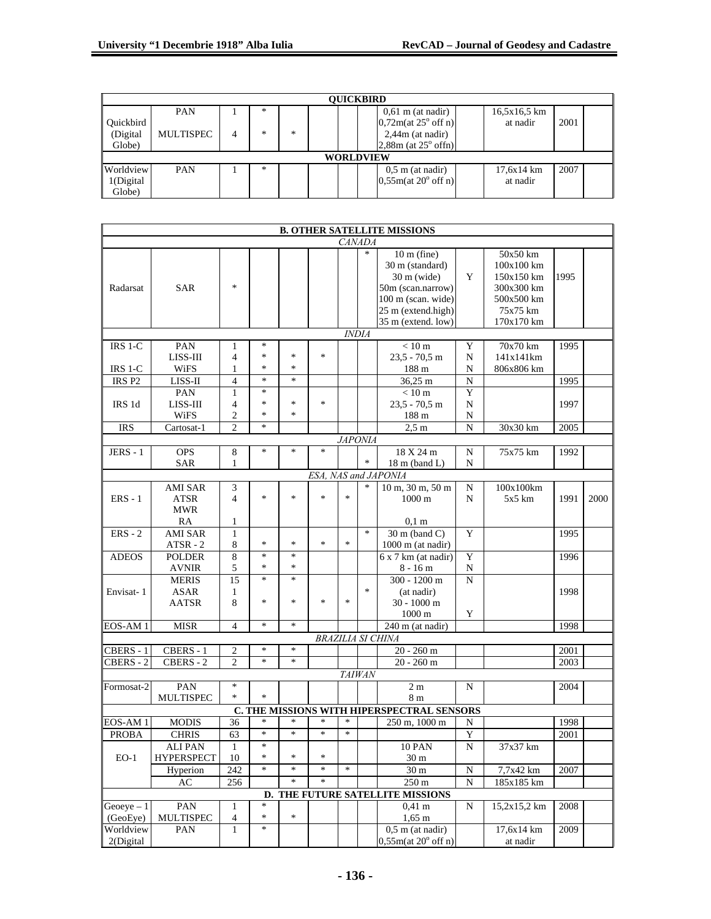|                  | <b>OUICKBIRD</b> |   |        |   |  |  |  |                                |  |              |      |  |  |
|------------------|------------------|---|--------|---|--|--|--|--------------------------------|--|--------------|------|--|--|
|                  | <b>PAN</b>       |   | $\ast$ |   |  |  |  | $0,61 \text{ m}$ (at nadir)    |  | 16,5x16,5 km |      |  |  |
| <b>Ouickbird</b> |                  |   |        |   |  |  |  | 0,72m(at 25° off n)            |  | at nadir     | 2001 |  |  |
| (Digital         | MULTISPEC        | 4 | ×.     | * |  |  |  | $2,44m$ (at nadir)             |  |              |      |  |  |
| Globe)           |                  |   |        |   |  |  |  | $2,88m$ (at $25^{\circ}$ offn) |  |              |      |  |  |
| <b>WORLDVIEW</b> |                  |   |        |   |  |  |  |                                |  |              |      |  |  |
| Worldview        | <b>PAN</b>       |   | *      |   |  |  |  | $0.5$ m (at nadir)             |  | 17,6x14 km   | 2007 |  |  |
| 1(Digital        |                  |   |        |   |  |  |  | 0.55m(at 20° off n)            |  | at nadir     |      |  |  |
| Globe)           |                  |   |        |   |  |  |  |                                |  |              |      |  |  |

|                   |                        |                     |        |        |        |                |               | <b>B. OTHER SATELLITE MISSIONS</b>         |             |              |      |      |
|-------------------|------------------------|---------------------|--------|--------|--------|----------------|---------------|--------------------------------------------|-------------|--------------|------|------|
|                   |                        |                     |        |        |        |                | <i>CANADA</i> |                                            |             |              |      |      |
|                   |                        |                     |        |        |        |                | $\ast$        | $10 \text{ m}$ (fine)                      |             | $50x50$ km   |      |      |
|                   |                        |                     |        |        |        |                |               | 30 m (standard)                            |             | 100x100 km   |      |      |
|                   |                        |                     |        |        |        |                |               | $30 \text{ m}$ (wide)                      | Y           | 150x150 km   | 1995 |      |
| Radarsat          | <b>SAR</b>             | $\ast$              |        |        |        |                |               | 50m (scan.narrow)                          |             | 300x300 km   |      |      |
|                   |                        |                     |        |        |        |                |               | 100 m (scan. wide)                         |             | 500x500 km   |      |      |
|                   |                        |                     |        |        |        |                |               | 25 m (extend.high)                         |             | 75x75 km     |      |      |
|                   |                        |                     |        |        |        |                |               | 35 m (extend. low)                         |             | 170x170 km   |      |      |
|                   |                        |                     |        |        |        | <b>INDIA</b>   |               |                                            |             |              |      |      |
| IRS 1-C           | PAN                    | 1                   | $\ast$ |        |        |                |               | $<10~\mathrm{m}$                           | Y           | 70x70 km     | 1995 |      |
|                   | LISS-III               | $\overline{4}$      | *      | $\ast$ | $\ast$ |                |               | $23.5 - 70.5$ m                            | N           | 141x141km    |      |      |
| IRS 1-C           | WiFS                   | 1                   | $\ast$ | *      |        |                |               | 188 m                                      | N           | 806x806 km   |      |      |
| IRS <sub>P2</sub> | LISS-II                | $\overline{4}$      | $\ast$ | $\ast$ |        |                |               | 36,25 m                                    | ${\bf N}$   |              | 1995 |      |
|                   | PAN                    | 1                   | $\ast$ |        |        |                |               | $< 10 \text{ m}$                           | Y           |              |      |      |
| IRS 1d            | LISS-III               | $\overline{4}$      | $\ast$ | *      | $\ast$ |                |               | $23.5 - 70.5$ m                            | N           |              | 1997 |      |
|                   | WiFS                   | $\mathfrak{2}$      | $\ast$ | *      |        |                |               | 188 m                                      | N           |              |      |      |
| <b>IRS</b>        | Cartosat-1             | $\overline{c}$      | $\ast$ |        |        |                |               | 2.5 <sub>m</sub>                           | N           | 30x30 km     | 2005 |      |
|                   |                        |                     |        |        |        | <b>JAPONIA</b> |               |                                            |             |              |      |      |
| $JERS - 1$        | <b>OPS</b>             | 8                   | *      | *      | $\ast$ |                | $\ast$        | 18 X 24 m                                  | N           | 75x75 km     | 1992 |      |
|                   | <b>SAR</b>             | 1                   |        |        |        |                |               | $18 \text{ m}$ (band L)                    | N           |              |      |      |
|                   |                        |                     |        |        |        |                | *             | ESA, NAS and JAPONIA                       |             |              |      |      |
| $ERS - 1$         | AMI SAR<br><b>ATSR</b> | 3<br>$\overline{4}$ | $\ast$ | $\ast$ | $\ast$ | $\ast$         |               | 10 m, 30 m, 50 m<br>$1000 \text{ m}$       | N           | 100x100km    | 1991 | 2000 |
|                   | <b>MWR</b>             |                     |        |        |        |                |               |                                            | N           | $5x5$ km     |      |      |
|                   | RA                     | $\mathbf{1}$        |        |        |        |                |               | $0,1 \text{ m}$                            |             |              |      |      |
| $ERS - 2$         | <b>AMI SAR</b>         | $\mathbf{1}$        |        |        |        |                | $\ast$        | $\overline{30}$ m (band C)                 | Y           |              | 1995 |      |
|                   | $ATSR - 2$             | 8                   | $\ast$ | $\ast$ | $\ast$ | $\ast$         |               | $1000 \text{ m}$ (at nadir)                |             |              |      |      |
| <b>ADEOS</b>      | <b>POLDER</b>          | 8                   | $\ast$ | $\ast$ |        |                |               | $6x$ 7 km (at nadir)                       | Y           |              | 1996 |      |
|                   | <b>AVNIR</b>           | 5                   | $\ast$ | *      |        |                |               | $8 - 16m$                                  | N           |              |      |      |
|                   | <b>MERIS</b>           | 15                  | $\ast$ | *      |        |                |               | $300 - 1200$ m                             | N           |              |      |      |
| Envisat-1         | ASAR                   | 1                   |        |        |        |                | $\ast$        | (at nadir)                                 |             |              | 1998 |      |
|                   | AATSR                  | 8                   | *      | *      | $\ast$ | $\ast$         |               | $30 - 1000$ m                              |             |              |      |      |
|                   |                        |                     |        |        |        |                |               | $1000 \text{ m}$                           | Y           |              |      |      |
| EOS-AM1           | <b>MISR</b>            | $\overline{4}$      | $\ast$ | $\ast$ |        |                |               | $\overline{240}$ m (at nadir)              |             |              | 1998 |      |
|                   |                        |                     |        |        |        |                |               | <b>BRAZILIA SI CHINA</b>                   |             |              |      |      |
| CBERS - 1         | CBERS - 1              | 2                   | *      | $\ast$ |        |                |               | $20 - 260$ m                               |             |              | 2001 |      |
| CBERS - 2         | CBERS - 2              | $\overline{c}$      | $\ast$ | $\ast$ |        |                |               | $20 - 260$ m                               |             |              | 2003 |      |
|                   |                        |                     |        |        |        |                | <b>TAIWAN</b> |                                            |             |              |      |      |
| Formosat-2        | PAN                    | $\ast$              |        |        |        |                |               | 2 <sub>m</sub>                             | N           |              | 2004 |      |
|                   | MULTISPEC              | $\ast$              | $\ast$ |        |        |                |               | 8 m                                        |             |              |      |      |
|                   |                        |                     |        |        |        |                |               | C. THE MISSIONS WITH HIPERSPECTRAL SENSORS |             |              |      |      |
| EOS-AM 1          | <b>MODIS</b>           | 36                  | $\ast$ | $\ast$ | $\ast$ | $\ast$         |               | 250 m, 1000 m                              | N           |              | 1998 |      |
| <b>PROBA</b>      | <b>CHRIS</b>           | 63                  | $\ast$ | $\ast$ | $\ast$ | $\ast$         |               |                                            | Y           |              | 2001 |      |
|                   | ALI PAN                | 1                   | ∗      |        |        |                |               | 10 PAN                                     | N           | 37x37 km     |      |      |
| $EO-1$            | <b>HYPERSPECT</b>      | 10                  | $\ast$ | $\ast$ | $\ast$ |                |               | $30\,\mathrm{m}$                           |             |              |      |      |
|                   | Hyperion               | 242                 | *      | $\ast$ | *      | $\ast$         |               | 30 <sub>m</sub>                            | $\mathbf N$ | 7,7x42 km    | 2007 |      |
|                   | AC                     | 256                 |        | $\ast$ | *      |                |               | $\overline{250}$ m                         | N           | 185x185 km   |      |      |
|                   |                        |                     | D.     |        |        |                |               | THE FUTURE SATELLITE MISSIONS              |             |              |      |      |
| $George - 1$      | PAN                    | 1                   | $\ast$ |        |        |                |               | $0,41 \text{ m}$                           | N           | 15,2x15,2 km | 2008 |      |
| (GeoEye)          | MULTISPEC              | $\overline{4}$      | *      | *      |        |                |               | $1,65 \; \mathrm{m}$                       |             |              |      |      |
| Worldview         | PAN                    | 1                   | $\ast$ |        |        |                |               | $0,5$ m (at nadir)                         |             | 17,6x14 km   | 2009 |      |
| 2(Digital         |                        |                     |        |        |        |                |               | 0,55m(at 20° off n)                        |             | at nadir     |      |      |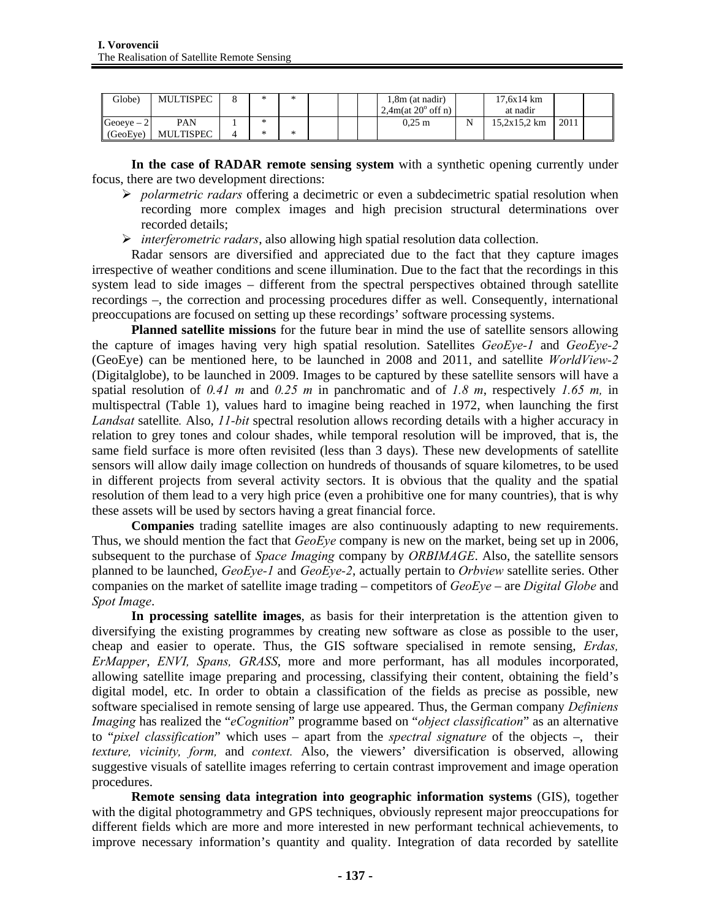| Globe)      | <b>MULTISPEC</b> | ste. | * |  | 1,8m (at nadir)             | 17.6x14 km   |      |  |
|-------------|------------------|------|---|--|-----------------------------|--------------|------|--|
|             |                  |      |   |  | $2,4m(at 20^{\circ}$ off n) | at nadir     |      |  |
| Geoeve $-2$ | PAN              | ×    |   |  | $0.25 \text{ m}$            | 15.2x15.2 km | 2011 |  |
| (GeoEye)    | <b>MULTISPEC</b> |      | ∗ |  |                             |              |      |  |

**In the case of RADAR remote sensing system** with a synthetic opening currently under focus, there are two development directions:

- ¾ *polarmetric radars* offering a decimetric or even a subdecimetric spatial resolution when recording more complex images and high precision structural determinations over recorded details;
- ¾ *interferometric radars*, also allowing high spatial resolution data collection.

Radar sensors are diversified and appreciated due to the fact that they capture images irrespective of weather conditions and scene illumination. Due to the fact that the recordings in this system lead to side images – different from the spectral perspectives obtained through satellite recordings –, the correction and processing procedures differ as well. Consequently, international preoccupations are focused on setting up these recordings' software processing systems.

**Planned satellite missions** for the future bear in mind the use of satellite sensors allowing the capture of images having very high spatial resolution. Satellites *GeoEye-1* and *GeoEye-2* (GeoEye) can be mentioned here, to be launched in 2008 and 2011, and satellite *WorldView-2*  (Digitalglobe), to be launched in 2009. Images to be captured by these satellite sensors will have a spatial resolution of *0.41 m* and *0.25 m* in panchromatic and of *1.8 m*, respectively *1.65 m,* in multispectral (Table 1), values hard to imagine being reached in 1972, when launching the first *Landsat* satellite*.* Also, *11-bit* spectral resolution allows recording details with a higher accuracy in relation to grey tones and colour shades, while temporal resolution will be improved, that is, the same field surface is more often revisited (less than 3 days). These new developments of satellite sensors will allow daily image collection on hundreds of thousands of square kilometres, to be used in different projects from several activity sectors. It is obvious that the quality and the spatial resolution of them lead to a very high price (even a prohibitive one for many countries), that is why these assets will be used by sectors having a great financial force.

**Companies** trading satellite images are also continuously adapting to new requirements. Thus, we should mention the fact that *GeoEye* company is new on the market, being set up in 2006, subsequent to the purchase of *Space Imaging* company by *ORBIMAGE*. Also, the satellite sensors planned to be launched, *GeoEye-1* and *GeoEye-2*, actually pertain to *Orbview* satellite series. Other companies on the market of satellite image trading – competitors of *GeoEye* – are *Digital Globe* and *Spot Image*.

**In processing satellite images**, as basis for their interpretation is the attention given to diversifying the existing programmes by creating new software as close as possible to the user, cheap and easier to operate. Thus, the GIS software specialised in remote sensing, *Erdas, ErMapper*, *ENVI, Spans, GRASS*, more and more performant, has all modules incorporated, allowing satellite image preparing and processing, classifying their content, obtaining the field's digital model, etc. In order to obtain a classification of the fields as precise as possible, new software specialised in remote sensing of large use appeared. Thus, the German company *Definiens Imaging* has realized the "*eCognition*" programme based on "*object classification*" as an alternative to "*pixel classification*" which uses – apart from the *spectral signature* of the objects –, their *texture, vicinity, form,* and *context.* Also, the viewers' diversification is observed, allowing suggestive visuals of satellite images referring to certain contrast improvement and image operation procedures.

**Remote sensing data integration into geographic information systems** (GIS), together with the digital photogrammetry and GPS techniques, obviously represent major preoccupations for different fields which are more and more interested in new performant technical achievements, to improve necessary information's quantity and quality. Integration of data recorded by satellite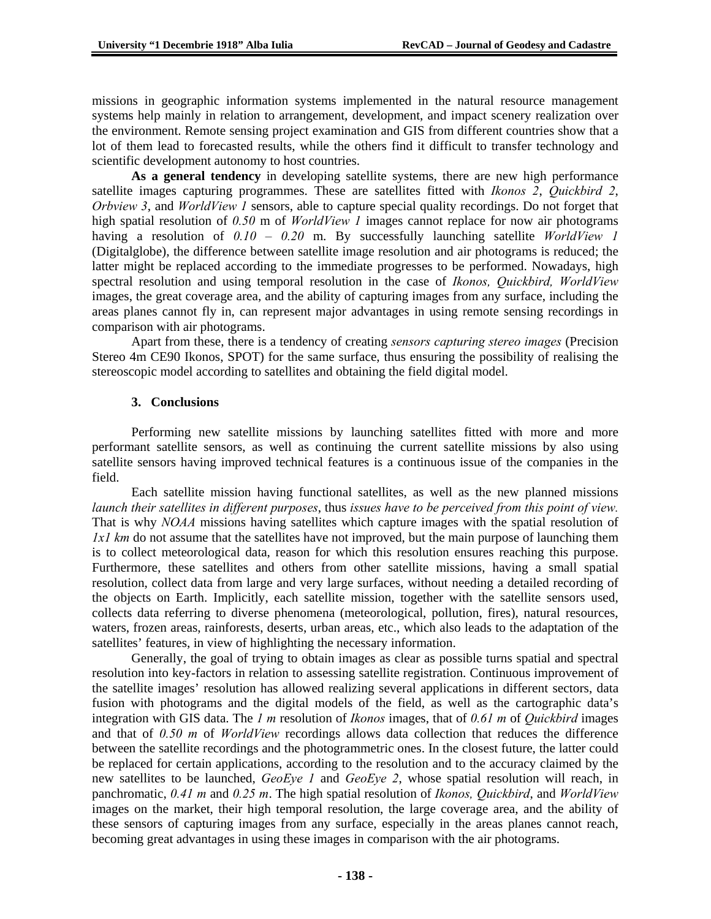missions in geographic information systems implemented in the natural resource management systems help mainly in relation to arrangement, development, and impact scenery realization over the environment. Remote sensing project examination and GIS from different countries show that a lot of them lead to forecasted results, while the others find it difficult to transfer technology and scientific development autonomy to host countries.

**As a general tendency** in developing satellite systems, there are new high performance satellite images capturing programmes. These are satellites fitted with *Ikonos 2*, *Quickbird 2*, *Orbview 3*, and *WorldView 1* sensors, able to capture special quality recordings. Do not forget that high spatial resolution of *0.50* m of *WorldView 1* images cannot replace for now air photograms having a resolution of *0.10 – 0.20* m. By successfully launching satellite *WorldView 1* (Digitalglobe), the difference between satellite image resolution and air photograms is reduced; the latter might be replaced according to the immediate progresses to be performed. Nowadays, high spectral resolution and using temporal resolution in the case of *Ikonos, Quickbird, WorldView* images, the great coverage area, and the ability of capturing images from any surface, including the areas planes cannot fly in, can represent major advantages in using remote sensing recordings in comparison with air photograms.

Apart from these, there is a tendency of creating *sensors capturing stereo images* (Precision Stereo 4m CE90 Ikonos, SPOT) for the same surface, thus ensuring the possibility of realising the stereoscopic model according to satellites and obtaining the field digital model.

# **3. Conclusions**

Performing new satellite missions by launching satellites fitted with more and more performant satellite sensors, as well as continuing the current satellite missions by also using satellite sensors having improved technical features is a continuous issue of the companies in the field.

Each satellite mission having functional satellites, as well as the new planned missions *launch their satellites in different purposes*, thus *issues have to be perceived from this point of view.*  That is why *NOAA* missions having satellites which capture images with the spatial resolution of *1x1 km* do not assume that the satellites have not improved, but the main purpose of launching them is to collect meteorological data, reason for which this resolution ensures reaching this purpose. Furthermore, these satellites and others from other satellite missions, having a small spatial resolution, collect data from large and very large surfaces, without needing a detailed recording of the objects on Earth. Implicitly, each satellite mission, together with the satellite sensors used, collects data referring to diverse phenomena (meteorological, pollution, fires), natural resources, waters, frozen areas, rainforests, deserts, urban areas, etc., which also leads to the adaptation of the satellites' features, in view of highlighting the necessary information.

Generally, the goal of trying to obtain images as clear as possible turns spatial and spectral resolution into key-factors in relation to assessing satellite registration. Continuous improvement of the satellite images' resolution has allowed realizing several applications in different sectors, data fusion with photograms and the digital models of the field, as well as the cartographic data's integration with GIS data. The *1 m* resolution of *Ikonos* images, that of *0.61 m* of *Quickbird* images and that of *0.50 m* of *WorldView* recordings allows data collection that reduces the difference between the satellite recordings and the photogrammetric ones. In the closest future, the latter could be replaced for certain applications, according to the resolution and to the accuracy claimed by the new satellites to be launched, *GeoEye 1* and *GeoEye 2*, whose spatial resolution will reach, in panchromatic, *0.41 m* and *0.25 m*. The high spatial resolution of *Ikonos, Quickbird*, and *WorldView*  images on the market, their high temporal resolution, the large coverage area, and the ability of these sensors of capturing images from any surface, especially in the areas planes cannot reach, becoming great advantages in using these images in comparison with the air photograms.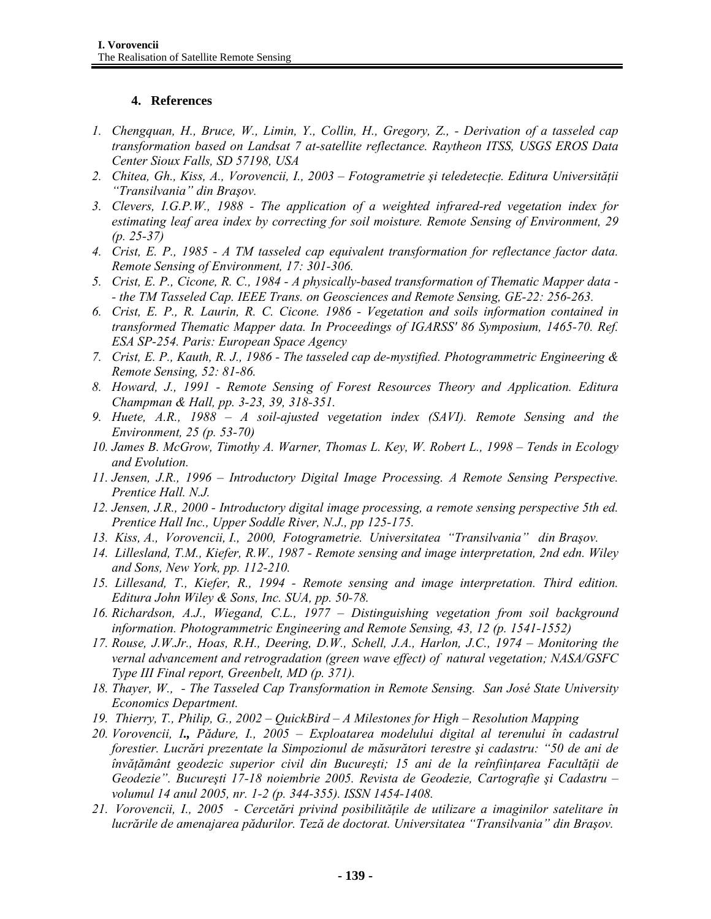# **4. References**

- *1. Chengquan, H., Bruce, W., Limin, Y., Collin, H., Gregory, Z., Derivation of a tasseled cap transformation based on Landsat 7 at-satellite reflectance. Raytheon ITSS, USGS EROS Data Center Sioux Falls, SD 57198, USA*
- *2. Chitea, Gh., Kiss, A., Vorovencii, I., 2003 Fotogrametrie şi teledetecţie. Editura Universităţii "Transilvania" din Braşov.*
- *3. Clevers, I.G.P.W., 1988 The application of a weighted infrared-red vegetation index for estimating leaf area index by correcting for soil moisture. Remote Sensing of Environment, 29 (p. 25-37)*
- *4. Crist, E. P., 1985 A TM tasseled cap equivalent transformation for reflectance factor data. Remote Sensing of Environment, 17: 301-306.*
- *5. Crist, E. P., Cicone, R. C., 1984 A physically-based transformation of Thematic Mapper data - - the TM Tasseled Cap. IEEE Trans. on Geosciences and Remote Sensing, GE-22: 256-263.*
- *6. Crist, E. P., R. Laurin, R. C. Cicone. 1986 Vegetation and soils information contained in transformed Thematic Mapper data. In Proceedings of IGARSS' 86 Symposium, 1465-70. Ref. ESA SP-254. Paris: European Space Agency*
- *7. Crist, E. P., Kauth, R. J., 1986 The tasseled cap de-mystified. Photogrammetric Engineering & Remote Sensing, 52: 81-86.*
- *8. Howard, J., 1991 Remote Sensing of Forest Resources Theory and Application. Editura Champman & Hall, pp. 3-23, 39, 318-351.*
- *9. Huete, A.R., 1988 A soil-ajusted vegetation index (SAVI). Remote Sensing and the Environment, 25 (p. 53-70)*
- *10. James B. McGrow, Timothy A. Warner, Thomas L. Key, W. Robert L., 1998 Tends in Ecology and Evolution.*
- *11. Jensen, J.R., 1996 Introductory Digital Image Processing. A Remote Sensing Perspective. Prentice Hall. N.J.*
- *12. Jensen, J.R., 2000 Introductory digital image processing, a remote sensing perspective 5th ed. Prentice Hall Inc., Upper Soddle River, N.J., pp 125-175.*
- *13. Kiss, A., Vorovencii, I., 2000, Fotogrametrie. Universitatea "Transilvania" din Braşov.*
- *14. Lillesland, T.M., Kiefer, R.W., 1987 Remote sensing and image interpretation, 2nd edn. Wiley and Sons, New York, pp. 112-210.*
- *15. Lillesand, T., Kiefer, R., 1994 Remote sensing and image interpretation. Third edition. Editura John Wiley & Sons, Inc. SUA, pp. 50-78.*
- *16. Richardson, A.J., Wiegand, C.L., 1977 Distinguishing vegetation from soil background information. Photogrammetric Engineering and Remote Sensing, 43, 12 (p. 1541-1552)*
- *17. Rouse, J.W.Jr., Hoas, R.H., Deering, D.W., Schell, J.A., Harlon, J.C., 1974 Monitoring the vernal advancement and retrogradation (green wave effect) of natural vegetation; NASA/GSFC Type III Final report, Greenbelt, MD (p. 371).*
- *18. Thayer, W., The Tasseled Cap Transformation in Remote Sensing. San José State University Economics Department.*
- *19. Thierry, T., Philip, G., 2002 QuickBird A Milestones for High Resolution Mapping*
- *20. Vorovencii, I., Pădure, I., 2005 Exploatarea modelului digital al terenului în cadastrul forestier. Lucrări prezentate la Simpozionul de măsurători terestre şi cadastru: "50 de ani de învăţământ geodezic superior civil din Bucureşti; 15 ani de la reînfiinţarea Facultăţii de Geodezie". Bucureşti 17-18 noiembrie 2005. Revista de Geodezie, Cartografie şi Cadastru – volumul 14 anul 2005, nr. 1-2 (p. 344-355). ISSN 1454-1408.*
- *21. Vorovencii, I., 2005 Cercetări privind posibilităţile de utilizare a imaginilor satelitare în lucrările de amenajarea pădurilor. Teză de doctorat. Universitatea "Transilvania" din Braşov.*